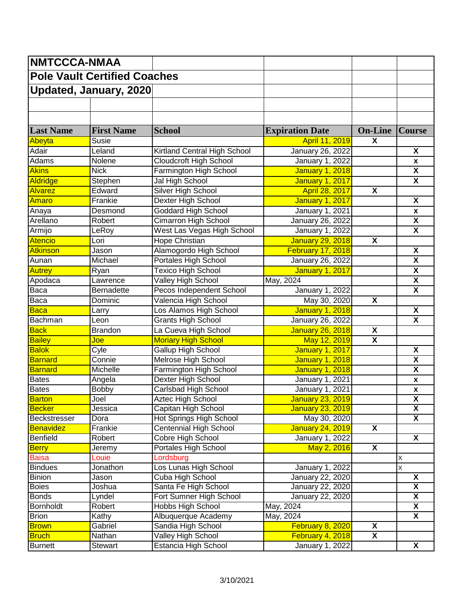| <b>NMTCCCA-NMAA</b>                 |                               |                                |                         |                           |                              |
|-------------------------------------|-------------------------------|--------------------------------|-------------------------|---------------------------|------------------------------|
| <b>Pole Vault Certified Coaches</b> |                               |                                |                         |                           |                              |
|                                     | <b>Updated, January, 2020</b> |                                |                         |                           |                              |
|                                     |                               |                                |                         |                           |                              |
|                                     |                               |                                |                         |                           |                              |
| <b>Last Name</b>                    | <b>First Name</b>             | <b>School</b>                  | <b>Expiration Date</b>  | <b>On-Line</b>            | <b>Course</b>                |
| Abeyta                              | Susie                         |                                | April 11, 2019          | $\overline{\mathbf{X}}$   |                              |
| Adair                               | Leland                        | Kirtland Central High School   | <b>January 26, 2022</b> |                           | $\overline{\mathbf{x}}$      |
| Adams                               | Nolene                        | <b>Cloudcroft High School</b>  | January 1, 2022         |                           | X                            |
| <b>Akins</b>                        | <b>Nick</b>                   | Farmington High School         | <b>January 1, 2018</b>  |                           | $\overline{\mathbf{X}}$      |
| <b>Aldridge</b>                     | Stephen                       | Jal High School                | <b>January 1, 2017</b>  |                           | $\overline{\mathsf{x}}$      |
| <b>Alvarez</b>                      | Edward                        | <b>Silver High School</b>      | April 28, 2017          | $\overline{\mathbf{X}}$   |                              |
| <b>Amaro</b>                        | Frankie                       | Dexter High School             | <b>January 1, 2017</b>  |                           | $\overline{\mathbf{x}}$      |
| Anaya                               | Desmond                       | <b>Goddard High School</b>     | <b>January 1, 2021</b>  |                           |                              |
| Arellano                            | Robert                        | <b>Cimarron High School</b>    | <b>January 26, 2022</b> |                           | X<br>$\overline{\mathbf{X}}$ |
|                                     |                               | West Las Vegas High School     | January 1, 2022         |                           | $\overline{\mathbf{X}}$      |
| Armijo                              | LeRoy                         |                                |                         |                           |                              |
| <b>Atencio</b>                      | Lori                          | Hope Christian                 | <b>January 29, 2018</b> | $\boldsymbol{\mathsf{X}}$ |                              |
| <b>Atkinson</b>                     | Jason                         | Alamogordo High School         | February 17, 2018       |                           | $\overline{\mathbf{X}}$      |
| Aunan                               | Michael                       | Portales High School           | January 26, 2022        |                           | $\overline{\mathbf{X}}$      |
| <b>Autrey</b>                       | Ryan                          | <b>Texico High School</b>      | <b>January 1, 2017</b>  |                           | $\overline{\mathbf{X}}$      |
| Apodaca                             | Lawrence                      | Valley High School             | May, 2024               |                           | X                            |
| <b>Baca</b>                         | <b>Bernadette</b>             | Pecos Independent School       | January 1, 2022         |                           | $\overline{\mathsf{x}}$      |
| <b>Baca</b>                         | Dominic                       | Valencia High School           | May 30, 2020            | $\overline{\mathbf{X}}$   |                              |
| <b>Baca</b>                         | Larry                         | Los Alamos High School         | <b>January 1, 2018</b>  |                           | $\overline{\mathbf{x}}$      |
| Bachman                             | Leon                          | <b>Grants High School</b>      | January 26, 2022        |                           | X                            |
| <b>Back</b>                         | <b>Brandon</b>                | La Cueva High School           | <b>January 26, 2018</b> | $\overline{\mathbf{X}}$   |                              |
| <b>Bailey</b>                       | Joe                           | <b>Moriary High School</b>     | May 12, 2019            | $\overline{\mathbf{X}}$   |                              |
| <b>Balok</b>                        | Cyle                          | <b>Gallup High School</b>      | <b>January 1, 2017</b>  |                           | $\overline{\mathbf{X}}$      |
| <b>Barnard</b>                      | Connie                        | Melrose High School            | <b>January 1, 2018</b>  |                           | $\overline{\mathbf{X}}$      |
| <b>Barnard</b>                      | Michelle                      | Farmington High School         | <b>January 1, 2018</b>  |                           | $\overline{\mathbf{X}}$      |
| <b>Bates</b>                        | Angela                        | Dexter High School             | <b>January 1, 2021</b>  |                           | $\pmb{\mathsf{x}}$           |
| <b>Bates</b>                        | <b>Bobby</b>                  | <b>Carlsbad High School</b>    | January 1, 2021         |                           | X                            |
| <b>Barton</b>                       | Joel                          | Aztec High School              | January 23, 2019        |                           | $\overline{\mathbf{X}}$      |
| <b>Becker</b>                       | Jessica                       | Capitan High School            | <b>January 23, 2019</b> |                           | $\overline{\mathbf{X}}$      |
| <b>Beckstresser</b>                 | Dora                          | <b>Hot Springs High School</b> | May 30, 2020            |                           | X                            |
| Benavidez                           | Frankie                       | <b>Centennial High School</b>  | <b>January 24, 2019</b> | $\overline{\mathbf{X}}$   |                              |
| <b>Benfield</b>                     | Robert                        | Cobre High School              | January 1, 2022         |                           | $\overline{\mathbf{X}}$      |
| <b>Berry</b>                        | Jeremy                        | Portales High School           | May 2, 2016             | $\overline{\mathbf{X}}$   |                              |
| <b>Baisa</b>                        | Louie                         | Lordsburg                      |                         |                           | Χ                            |
| <b>Bindues</b>                      | Jonathon                      | Los Lunas High School          | <b>January 1, 2022</b>  |                           | X                            |
| <b>Binion</b>                       | Jason                         | Cuba High School               | <b>January 22, 2020</b> |                           | $\overline{\mathbf{X}}$      |
| <b>Boies</b>                        | Joshua                        | Santa Fe High School           | January 22, 2020        |                           | $\overline{\mathbf{X}}$      |
| <b>Bonds</b>                        | Lyndel                        | Fort Sumner High School        | <b>January 22, 2020</b> |                           | $\overline{\mathbf{x}}$      |
| Bornholdt                           | Robert                        | Hobbs High School              | May, 2024               |                           | $\overline{\mathbf{X}}$      |
| <b>Brion</b>                        | Kathy                         | Albuquerque Academy            | May, 2024               |                           | $\overline{\mathbf{X}}$      |
| <b>Brown</b>                        | Gabriel                       | Sandia High School             | February 8, 2020        | $\overline{\mathbf{X}}$   |                              |
| <b>Bruch</b>                        | Nathan                        | Valley High School             | February 4, 2018        | $\overline{\mathbf{X}}$   |                              |
| <b>Burnett</b>                      | Stewart                       | Estancia High School           | <b>January 1, 2022</b>  |                           | $\overline{\mathsf{X}}$      |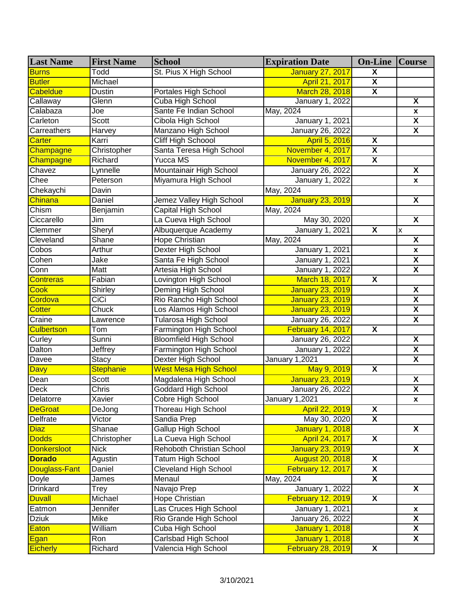| <b>Last Name</b>     | <b>First Name</b> | <b>School</b>                 | <b>Expiration Date</b>   | <b>On-Line   Course</b> |                           |
|----------------------|-------------------|-------------------------------|--------------------------|-------------------------|---------------------------|
| <b>Burns</b>         | Todd              | St. Pius X High School        | <b>January 27, 2017</b>  | $\overline{\mathbf{X}}$ |                           |
| <b>Butler</b>        | Michael           |                               | <b>April 21, 2017</b>    | $\overline{\mathbf{X}}$ |                           |
| <b>Cabeldue</b>      | <b>Dustin</b>     | Portales High School          | March 28, 2018           | $\overline{\mathbf{X}}$ |                           |
| Callaway             | Glenn             | Cuba High School              | <b>January 1, 2022</b>   |                         | $\overline{\mathbf{X}}$   |
| Calabaza             | Joe               | Sante Fe Indian School        | May, 2024                |                         | $\pmb{\mathsf{x}}$        |
| Carleton             | Scott             | Cibola High School            | January 1, 2021          |                         | $\overline{\mathbf{X}}$   |
| Carreathers          | <b>Harvey</b>     | Manzano High School           | <b>January 26, 2022</b>  |                         | $\overline{\mathbf{x}}$   |
| <b>Carter</b>        | Karri             | Cliff High Schoool            | April 5, 2016            | $\overline{\mathbf{X}}$ |                           |
| Champagne            | Christopher       | Santa Teresa High School      | November 4, 2017         | $\overline{\mathbf{x}}$ |                           |
| Champagne            | Richard           | <b>Yucca MS</b>               | November 4, 2017         | $\overline{\mathbf{X}}$ |                           |
| Chavez               | Lynnelle          | Mountainair High School       | January 26, 2022         |                         | X                         |
| Chee                 | Peterson          | Miyamura High School          | <b>January 1, 2022</b>   |                         | X                         |
| Chekaychi            | Davin             |                               | May, 2024                |                         |                           |
| Chinana              | Daniel            | Jemez Valley High School      | <b>January 23, 2019</b>  |                         | $\overline{\mathbf{X}}$   |
| Chism                | Benjamin          | Capital High School           | May, 2024                |                         |                           |
| Ciccarello           | Jim               | La Cueva High School          | May 30, 2020             |                         | $\overline{\mathbf{X}}$   |
| Clemmer              | Sheryl            | Albuquerque Academy           | <b>January 1, 2021</b>   | $\overline{\mathbf{X}}$ | $\boldsymbol{\mathsf{x}}$ |
| Cleveland            | Shane             | Hope Christian                | May, 2024                |                         | $\overline{\mathbf{x}}$   |
| Cobos                | Arthur            | Dexter High School            | <b>January 1, 2021</b>   |                         | X                         |
| Cohen                | Jake              | Santa Fe High School          | January 1, 2021          |                         | $\overline{\mathbf{X}}$   |
| Conn                 | Matt              | Artesia High School           | January 1, 2022          |                         | $\overline{\mathbf{X}}$   |
| <b>Contreras</b>     | Fabian            | Lovington High School         | March 18, 2017           | X                       |                           |
| <b>Cook</b>          | Shirley           | Deming High School            | <b>January 23, 2019</b>  |                         | $\pmb{\mathsf{X}}$        |
| Cordova              | CiCi              | Rio Rancho High School        | <b>January 23, 2019</b>  |                         | $\overline{\mathbf{X}}$   |
| <b>Cotter</b>        | Chuck             | Los Alamos High School        | <b>January 23, 2019</b>  |                         | $\overline{\mathbf{X}}$   |
| Craine               | Lawrence          | <b>Tularosa High School</b>   | January 26, 2022         |                         | $\overline{\mathbf{x}}$   |
| <b>Culbertson</b>    | Tom               | Farmington High School        | February 14, 2017        | X                       |                           |
| Curley               | Sunni             | <b>Bloomfield High School</b> | January 26, 2022         |                         | $\overline{\mathbf{X}}$   |
| Dalton               | <b>Jeffrey</b>    | Farmington High School        | January 1, 2022          |                         | $\overline{\mathbf{X}}$   |
| Davee                | <b>Stacy</b>      | Dexter High School            | January 1,2021           |                         | $\overline{\mathbf{x}}$   |
| <b>Davy</b>          | <b>Stephanie</b>  | <b>West Mesa High School</b>  | May 9, 2019              | X                       |                           |
| Dean                 | Scott             | Magdalena High School         | <b>January 23, 2019</b>  |                         | $\overline{\mathbf{x}}$   |
| Deck                 | Chris             | <b>Goddard High School</b>    | January 26, 2022         |                         | $\overline{\mathbf{X}}$   |
| Delatorre            | Xavier            | <b>Cobre High School</b>      | January 1,2021           |                         | $\pmb{\mathsf{x}}$        |
| <b>DeGroat</b>       | DeJong            | Thoreau High School           | April 22, 2019           | X                       |                           |
| Delfrate             | Victor            | Sandia Prep                   | May 30, 2020             | X                       |                           |
| <b>Diaz</b>          | Shanae            | <b>Gallup High School</b>     | January 1, 2018          |                         | X                         |
| <b>Dodds</b>         | Christopher       | La Cueva High School          | April 24, 2017           | $\overline{\mathbf{X}}$ |                           |
| <b>Donkersloot</b>   | <b>Nick</b>       | Rehoboth Christian School     | <b>January 23, 2019</b>  |                         | X                         |
| <b>Dorado</b>        | Agustin           | Tatum High School             | <b>August 20, 2018</b>   | $\overline{\mathbf{x}}$ |                           |
| <b>Douglass-Fant</b> | Daniel            | Cleveland High School         | February 12, 2017        | $\overline{\mathbf{x}}$ |                           |
| Doyle                | James             | Menaul                        | May, 2024                | $\overline{\mathbf{x}}$ |                           |
| Drinkard             | Trey              | Navajo Prep                   | January 1, 2022          |                         | X                         |
| <b>Duvall</b>        | Michael           | Hope Christian                | <b>February 12, 2019</b> | $\overline{\mathbf{X}}$ |                           |
| Eatmon               | Jennifer          | Las Cruces High School        | January 1, 2021          |                         | $\pmb{\mathsf{x}}$        |
| <b>Dziuk</b>         | Mike              | Rio Grande High School        | January 26, 2022         |                         | $\overline{\mathbf{X}}$   |
| <b>Eaton</b>         | William           | Cuba High School              | <b>January 1, 2018</b>   |                         | X                         |
| <b>Egan</b>          | Ron               | Carlsbad High School          | <b>January 1, 2018</b>   |                         | $\overline{\mathbf{X}}$   |
| <b>Eicherly</b>      | Richard           | Valencia High School          | <b>February 28, 2019</b> | $\overline{\mathbf{X}}$ |                           |
|                      |                   |                               |                          |                         |                           |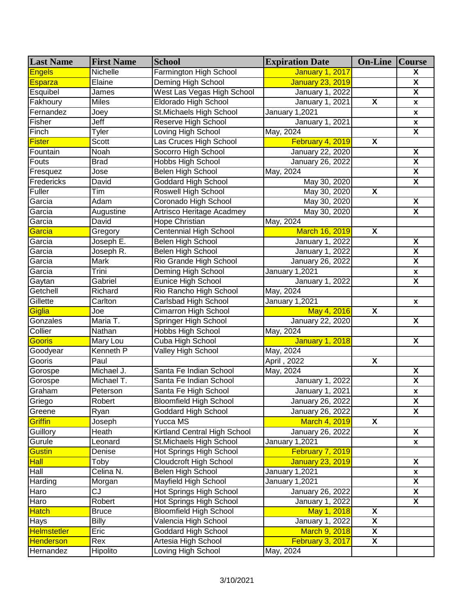| <b>Last Name</b>   | <b>First Name</b> | <b>School</b>                  | <b>Expiration Date</b>  | <b>On-Line   Course</b> |                         |
|--------------------|-------------------|--------------------------------|-------------------------|-------------------------|-------------------------|
| <b>Engels</b>      | Nichelle          | Farmington High School         | <b>January 1, 2017</b>  |                         | X                       |
| <b>Esparza</b>     | Elaine            | Deming High School             | <b>January 23, 2019</b> |                         | X                       |
| Esquibel           | James             | West Las Vegas High School     | <b>January 1, 2022</b>  |                         | $\overline{\mathsf{x}}$ |
| Fakhoury           | <b>Miles</b>      | <b>Eldorado High School</b>    | <b>January 1, 2021</b>  | $\overline{\mathbf{X}}$ | $\pmb{\mathsf{x}}$      |
| Fernandez          | Joey              | St. Michaels High School       | January 1,2021          |                         | $\pmb{\mathsf{x}}$      |
| Fisher             | Jeff              | Reserve High School            | January 1, 2021         |                         | $\pmb{\mathsf{x}}$      |
| Finch              | Tyler             | <b>Loving High School</b>      | May, 2024               |                         | $\overline{\mathbf{X}}$ |
| <b>Fister</b>      | Scott             | Las Cruces High School         | February 4, 2019        | $\overline{\mathbf{X}}$ |                         |
| Fountain           | Noah              | Socorro High School            | January 22, 2020        |                         | $\overline{\mathbf{X}}$ |
| Fouts              | <b>Brad</b>       | <b>Hobbs High School</b>       | January 26, 2022        |                         | $\overline{\mathbf{X}}$ |
| Fresquez           | Jose              | <b>Belen High School</b>       | May, 2024               |                         | $\overline{\mathbf{X}}$ |
| Fredericks         | David             | <b>Goddard High School</b>     | May 30, 2020            |                         | $\overline{\mathbf{X}}$ |
| Fuller             | Tim               | Roswell High School            | May 30, 2020            | $\overline{\mathbf{X}}$ |                         |
| Garcia             | Adam              | Coronado High School           | May 30, 2020            |                         | $\pmb{\mathsf{X}}$      |
| Garcia             | Augustine         | Artrisco Heritage Acadmey      | May 30, 2020            |                         | $\overline{\mathbf{x}}$ |
| Garcia             | David             | Hope Christian                 | May, 2024               |                         |                         |
| Garcia             | Gregory           | <b>Centennial High School</b>  | March 16, 2019          | $\overline{\mathbf{X}}$ |                         |
| Garcia             | Joseph E.         | <b>Belen High School</b>       | <b>January 1, 2022</b>  |                         | $\overline{\mathbf{X}}$ |
| Garcia             | Joseph R.         | <b>Belen High School</b>       | January 1, 2022         |                         | $\overline{\mathbf{X}}$ |
| Garcia             | Mark              | <b>Rio Grande High School</b>  | January 26, 2022        |                         | $\overline{\mathbf{X}}$ |
| Garcia             | Trini             | Deming High School             | January 1,2021          |                         | $\pmb{\mathsf{x}}$      |
| Gaytan             | Gabriel           | <b>Eunice High School</b>      | <b>January 1, 2022</b>  |                         | $\overline{\mathbf{X}}$ |
| Getchell           | Richard           | Rio Rancho High School         | May, 2024               |                         |                         |
| Gillette           | Carlton           | <b>Carlsbad High School</b>    | January 1,2021          |                         | $\pmb{\mathsf{x}}$      |
| Giglia             | Joe               | <b>Cimarron High School</b>    | May 4, 2016             | $\overline{\mathbf{X}}$ |                         |
| Gonzales           | Maria T.          | Springer High School           | <b>January 22, 2020</b> |                         | $\overline{\mathbf{X}}$ |
| Collier            | Nathan            | <b>Hobbs High School</b>       | May, 2024               |                         |                         |
| Gooris             | Mary Lou          | Cuba High School               | <b>January 1, 2018</b>  |                         | $\overline{\mathbf{X}}$ |
| Goodyear           | Kenneth P         | Valley High School             | May, 2024               |                         |                         |
| Gooris             | Paul              |                                | April, 2022             | $\overline{\mathbf{X}}$ |                         |
| Gorospe            | Michael J.        | Santa Fe Indian School         | May, 2024               |                         | $\overline{\mathbf{X}}$ |
| Gorospe            | Michael T.        | Santa Fe Indian School         | January 1, 2022         |                         | $\overline{\mathbf{X}}$ |
| Graham             | Peterson          | Santa Fe High School           | January 1, 2021         |                         | $\pmb{\mathsf{x}}$      |
| Griego             | Robert            | <b>Bloomfield High School</b>  | January 26, 2022        |                         | $\pmb{\mathsf{X}}$      |
| Greene             | Ryan              | <b>Goddard High School</b>     | January 26, 2022        |                         | X                       |
| Griffin            | Joseph            | Yucca MS                       | <b>March 4, 2019</b>    | $\mathbf{x}$            |                         |
| Guillory           | Heath             | Kirtland Central High School   | January 26, 2022        |                         | $\overline{\mathbf{X}}$ |
| Gurule             | Leonard           | St.Michaels High School        | January 1,2021          |                         | X                       |
| <b>Gustin</b>      | Denise            | Hot Springs High School        | February 7, 2019        |                         |                         |
| <b>Hall</b>        | Toby              | <b>Cloudcroft High School</b>  | <b>January 23, 2019</b> |                         | X                       |
| Hall               | Celina N.         | Belen High School              | January 1,2021          |                         | $\pmb{\mathsf{x}}$      |
| Harding            | Morgan            | Mayfield High School           | January 1,2021          |                         | $\overline{\mathbf{X}}$ |
| Haro               | CJ                | Hot Springs High School        | January 26, 2022        |                         | $\overline{\mathbf{X}}$ |
| Haro               | Robert            | <b>Hot Springs High School</b> | <b>January 1, 2022</b>  |                         | $\overline{\mathbf{X}}$ |
| <b>Hatch</b>       | <b>Bruce</b>      | <b>Bloomfield High School</b>  | May 1, 2018             | $\overline{\mathbf{X}}$ |                         |
| Hays               | <b>Billy</b>      | Valencia High School           | January 1, 2022         | $\overline{\mathbf{X}}$ |                         |
| <b>Helmstetler</b> | Eric              | <b>Goddard High School</b>     | <b>March 9, 2018</b>    | $\overline{\mathbf{X}}$ |                         |
| <b>Henderson</b>   | Rex               | Artesia High School            | February 3, 2017        | $\overline{\mathbf{X}}$ |                         |
| Hernandez          | Hipolito          | Loving High School             | May, 2024               |                         |                         |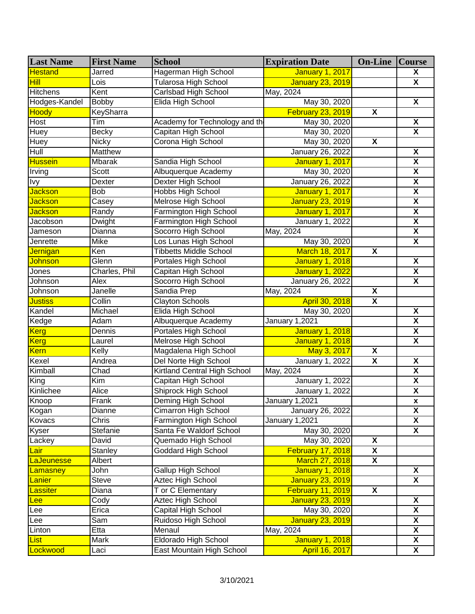| <b>Last Name</b> | <b>First Name</b> | <b>School</b>                  | <b>Expiration Date</b>   | <b>On-Line Course</b>   |                         |
|------------------|-------------------|--------------------------------|--------------------------|-------------------------|-------------------------|
| <b>Hestand</b>   | Jarred            | Hagerman High School           | <b>January 1, 2017</b>   |                         | X                       |
| <b>Hill</b>      | Lois              | Tularosa High School           | <b>January 23, 2019</b>  |                         | $\overline{\mathbf{X}}$ |
| <b>Hitchens</b>  | Kent              | Carlsbad High School           | May, 2024                |                         |                         |
| Hodges-Kandel    | <b>Bobby</b>      | Elida High School              | May 30, 2020             |                         | X                       |
| Hoody            | KeySharra         |                                | <b>February 23, 2019</b> | $\overline{\mathbf{X}}$ |                         |
| Host             | Tim               | Academy for Technology and the | May 30, 2020             |                         | X                       |
| Huey             | <b>Becky</b>      | Capitan High School            | May 30, 2020             |                         | $\overline{\mathbf{X}}$ |
| <b>Huey</b>      | <b>Nicky</b>      | Corona High School             | May 30, 2020             | $\overline{\mathbf{X}}$ |                         |
| Hull             | Matthew           |                                | January 26, 2022         |                         | $\overline{\mathbf{X}}$ |
| <b>Hussein</b>   | <b>Mbarak</b>     | Sandia High School             | <b>January 1, 2017</b>   |                         | $\overline{\mathbf{x}}$ |
| Irving           | <b>Scott</b>      | Albuquerque Academy            | May 30, 2020             |                         | X                       |
| Ivy              | Dexter            | Dexter High School             | January 26, 2022         |                         | $\overline{\mathbf{X}}$ |
| <b>Jackson</b>   | <b>Bob</b>        | <b>Hobbs High School</b>       | <b>January 1, 2017</b>   |                         | $\overline{\mathbf{X}}$ |
| <b>Jackson</b>   | Casey             | Melrose High School            | <b>January 23, 2019</b>  |                         | $\overline{\mathbf{X}}$ |
| <b>Jackson</b>   | Randy             | Farmington High School         | <b>January 1, 2017</b>   |                         | $\overline{\mathbf{X}}$ |
| Jacobson         | <b>Dwight</b>     | Farmington High School         | January 1, 2022          |                         | $\overline{\mathbf{X}}$ |
| Jameson          | Dianna            | Socorro High School            | May, 2024                |                         | $\overline{\mathbf{X}}$ |
| Jenrette         | <b>Mike</b>       | Los Lunas High School          | May 30, 2020             |                         | $\overline{\mathbf{x}}$ |
| <b>Jernigan</b>  | Ken               | <b>Tibbetts Middle School</b>  | March 18, 2017           | $\overline{\mathbf{X}}$ |                         |
| Johnson          | Glenn             | Portales High School           | <b>January 1, 2018</b>   |                         | $\overline{\mathbf{X}}$ |
| Jones            | Charles, Phil     | Capitan High School            | <b>January 1, 2022</b>   |                         | $\overline{\mathbf{X}}$ |
| Johnson          | Alex              | Socorro High School            | January 26, 2022         |                         | $\overline{\mathbf{X}}$ |
| Johnson          | Janelle           | <b>Sandia Prep</b>             | May, 2024                | $\overline{\mathbf{x}}$ |                         |
| <b>Justiss</b>   | Collin            | <b>Clayton Schools</b>         | April 30, 2018           | $\overline{\mathbf{X}}$ |                         |
| Kandel           | Michael           | Elida High School              | May 30, 2020             |                         | $\overline{\mathbf{X}}$ |
| Kedge            | Adam              | Albuquerque Academy            | <b>January 1,2021</b>    |                         | $\overline{\mathbf{X}}$ |
| <b>Kerg</b>      | Dennis            | Portales High School           | <b>January 1, 2018</b>   |                         | $\overline{\mathbf{X}}$ |
| <b>Kerg</b>      | Laurel            | Melrose High School            | <b>January 1, 2018</b>   |                         | $\overline{\mathbf{x}}$ |
| <b>Kern</b>      | Kelly             | Magdalena High School          | May 3, 2017              | X                       |                         |
| Kexel            | Andrea            | Del Norte High School          | January 1, 2022          | $\overline{\mathbf{X}}$ | $\overline{\mathbf{X}}$ |
| Kimball          | Chad              | Kirtland Central High School   | May, 2024                |                         | $\overline{\mathbf{X}}$ |
| King             | Kim               | Capitan High School            | <b>January 1, 2022</b>   |                         | $\overline{\mathbf{X}}$ |
| Kinlichee        | Alice             | Shiprock High School           | January 1, 2022          |                         | $\overline{\mathbf{X}}$ |
| Knoop            | Frank             | Deming High School             | January 1,2021           |                         | $\pmb{\mathsf{x}}$      |
| Kogan            | Dianne            | Cimarron High School           | January 26, 2022         |                         | $\pmb{\mathsf{X}}$      |
| Kovacs           | Chris             | Farmington High School         | January 1,2021           |                         | X                       |
| Kyser            | Stefanie          | Santa Fe Waldorf School        | May 30, 2020             |                         | $\overline{\mathbf{X}}$ |
| Lackey           | David             | Quemado High School            | May 30, 2020             | $\overline{\mathbf{X}}$ |                         |
| Lair             | Stanley           | <b>Goddard High School</b>     | February 17, 2018        | X                       |                         |
| LaJeunesse       | Albert            |                                | March 27, 2018           | $\overline{\mathbf{X}}$ |                         |
| Lamasney         | John              | Gallup High School             | <b>January 1, 2018</b>   |                         | X                       |
| Lanier           | Steve             | Aztec High School              | January 23, 2019         |                         | $\overline{\mathbf{X}}$ |
| Lassiter         | Diana             | T or C Elementary              | February 11, 2019        | $\mathbf{X}$            |                         |
| <b>Lee</b>       | Cody              | Aztec High School              | <b>January 23, 2019</b>  |                         | X                       |
| Lee              | Erica             | Capital High School            | May 30, 2020             |                         | X                       |
| Lee              | Sam               | Ruidoso High School            | January 23, 2019         |                         | $\overline{\mathbf{X}}$ |
| Linton           | Etta              | Menaul                         | May, 2024                |                         | X                       |
| <b>List</b>      | Mark              | <b>Eldorado High School</b>    | <b>January 1, 2018</b>   |                         | $\overline{\mathbf{X}}$ |
| Lockwood         | Laci              | East Mountain High School      | April 16, 2017           |                         | $\overline{\mathbf{X}}$ |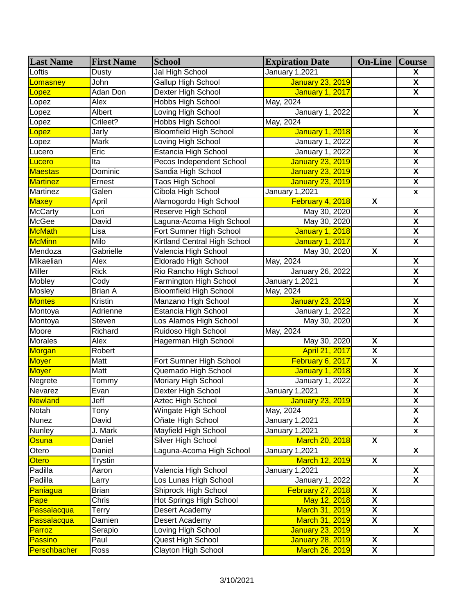| <b>Last Name</b> | <b>First Name</b> | <b>School</b>                 | <b>Expiration Date</b>  | <b>On-Line Course</b>   |                         |
|------------------|-------------------|-------------------------------|-------------------------|-------------------------|-------------------------|
| Loftis           | Dusty             | Jal High School               | <b>January 1,2021</b>   |                         | X                       |
| omasney          | John              | Gallup High School            | <b>January 23, 2019</b> |                         | X                       |
| _opez            | Adan Don          | Dexter High School            | <b>January 1, 2017</b>  |                         | $\overline{\mathbf{X}}$ |
| Lopez            | Alex              | Hobbs High School             | May, 2024               |                         |                         |
| Lopez            | Albert            | Loving High School            | January 1, 2022         |                         | $\overline{\mathbf{X}}$ |
| Lopez            | Crileet?          | Hobbs High School             | May, 2024               |                         |                         |
| Lopez            | Jarly             | <b>Bloomfield High School</b> | <b>January 1, 2018</b>  |                         | X                       |
| Lopez            | Mark              | Loving High School            | January 1, 2022         |                         | $\overline{\mathsf{x}}$ |
| Lucero           | Eric              | Estancia High School          | <b>January 1, 2022</b>  |                         | $\overline{\mathbf{x}}$ |
| Lucero           | Ita               | Pecos Independent School      | <b>January 23, 2019</b> |                         | $\overline{\mathbf{X}}$ |
| <b>Maestas</b>   | Dominic           | Sandia High School            | <b>January 23, 2019</b> |                         | $\overline{\mathbf{x}}$ |
| <b>Martinez</b>  | Ernest            | Taos High School              | January 23, 2019        |                         | $\overline{\mathbf{X}}$ |
| Martinez         | Galen             | Cibola High School            | January 1,2021          |                         | $\pmb{\mathsf{x}}$      |
| Maxey            | April             | Alamogordo High School        | February 4, 2018        | X                       |                         |
| <b>McCarty</b>   | Lori              | Reserve High School           | May 30, 2020            |                         | $\overline{\mathbf{X}}$ |
| McGee            | David             | Laguna-Acoma High School      | May 30, 2020            |                         | $\overline{\mathbf{x}}$ |
| <b>McMath</b>    | Lisa              | Fort Sumner High School       | <b>January 1, 2018</b>  |                         | $\overline{\mathbf{X}}$ |
| <b>McMinn</b>    | Milo              | Kirtland Central High School  | <b>January 1, 2017</b>  |                         | $\overline{\mathbf{X}}$ |
| Mendoza          | Gabrielle         | Valencia High School          | May 30, 2020            | X                       |                         |
| Mikaelian        | Alex              | Eldorado High School          | May, 2024               |                         | $\overline{\mathbf{X}}$ |
| <b>Miller</b>    | <b>Rick</b>       | Rio Rancho High School        | January 26, 2022        |                         | $\overline{\mathbf{X}}$ |
| Mobley           | Cody              | Farmington High School        | January 1,2021          |                         | $\overline{\mathbf{X}}$ |
| Mosley           | <b>Brian A</b>    | <b>Bloomfield High School</b> | May, 2024               |                         |                         |
| <b>Montes</b>    | Kristin           | Manzano High School           | <b>January 23, 2019</b> |                         | $\overline{\mathbf{X}}$ |
| Montoya          | Adrienne          | <b>Estancia High School</b>   | <b>January 1, 2022</b>  |                         | $\overline{\mathbf{X}}$ |
| Montoya          | Steven            | Los Alamos High School        | May 30, 2020            |                         | $\overline{\mathbf{X}}$ |
| Moore            | Richard           | Ruidoso High School           | May, 2024               |                         |                         |
| <b>Morales</b>   | Alex              | Hagerman High School          | May 30, 2020            | $\overline{\mathbf{X}}$ |                         |
| Morgan           | Robert            |                               | April 21, 2017          | $\overline{\mathbf{X}}$ |                         |
| Moyer            | Matt              | Fort Sumner High School       | February 6, 2017        | $\overline{\mathbf{X}}$ |                         |
| <b>Moyer</b>     | Matt              | Quemado High School           | <b>January 1, 2018</b>  |                         | $\overline{\mathbf{X}}$ |
| Negrete          | Tommy             | <b>Moriary High School</b>    | January 1, 2022         |                         | $\overline{\mathbf{X}}$ |
| Nevarez          | Evan              | Dexter High School            | January 1,2021          |                         | $\overline{\mathbf{X}}$ |
| <b>Newland</b>   | Jeff              | <b>Aztec High School</b>      | January 23, 2019        |                         | $\overline{\mathbf{X}}$ |
| Notah            | Tony              | Wingate High School           | May, 2024               |                         | $\pmb{\mathsf{X}}$      |
| Nunez            | David             | Oñate High School             | January 1,2021          |                         | X                       |
| Nunley           | J. Mark           | Mayfield High School          | January 1,2021          |                         | X                       |
| Osuna            | Daniel            | Silver High School            | March 20, 2018          | $\overline{\mathbf{x}}$ |                         |
| Otero            | Daniel            | Laguna-Acoma High School      | January 1,2021          |                         | X                       |
| <b>Otero</b>     | <b>Trystin</b>    |                               | March 12, 2019          | $\overline{\mathbf{X}}$ |                         |
| Padilla          | Aaron             | Valencia High School          | January 1,2021          |                         | X                       |
| Padilla          | Larry             | Los Lunas High School         | January 1, 2022         |                         | $\overline{\mathbf{X}}$ |
| <b>Paniagua</b>  | <b>Brian</b>      | Shiprock High School          | February 27, 2018       | X                       |                         |
| Pape             | Chris             | Hot Springs High School       | May 12, 2018            | $\overline{\mathbf{X}}$ |                         |
| Passalacqua      | <b>Terry</b>      | Desert Academy                | March 31, 2019          | $\overline{\mathbf{x}}$ |                         |
| Passalacqua      | Damien            | Desert Academy                | March 31, 2019          | $\overline{\mathbf{X}}$ |                         |
| Parroz           | Serapio           | Loving High School            | January 23, 2019        |                         | X                       |
| Passino          | Paul              | Quest High School             | <b>January 28, 2019</b> | $\overline{\mathbf{X}}$ |                         |
| Perschbacher     | Ross              | Clayton High School           | March 26, 2019          | $\overline{\mathbf{X}}$ |                         |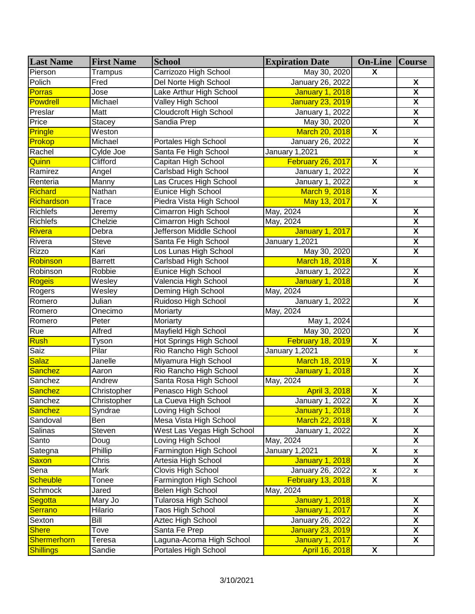| <b>Last Name</b> | <b>First Name</b> | <b>School</b>                 | <b>Expiration Date</b>   | <b>On-Line Course</b>   |                         |
|------------------|-------------------|-------------------------------|--------------------------|-------------------------|-------------------------|
| Pierson          | Trampus           | Carrizozo High School         | May 30, 2020             | $\overline{\mathbf{X}}$ |                         |
| Polich           | Fred              | Del Norte High School         | January 26, 2022         |                         | X                       |
| <b>Porras</b>    | Jose              | Lake Arthur High School       | January 1, 2018          |                         | $\overline{\mathbf{x}}$ |
| <b>Powdrell</b>  | Michael           | <b>Valley High School</b>     | <b>January 23, 2019</b>  |                         | $\overline{\mathbf{X}}$ |
| Preslar          | Matt              | <b>Cloudcroft High School</b> | January 1, 2022          |                         | $\overline{\mathbf{X}}$ |
| Price            | <b>Stacey</b>     | Sandia Prep                   | May 30, 2020             |                         | $\overline{\mathbf{x}}$ |
| <b>Pringle</b>   | Weston            |                               | March 20, 2018           | $\overline{\mathbf{X}}$ |                         |
| Prokop           | Michael           | Portales High School          | January 26, 2022         |                         | $\overline{\mathbf{X}}$ |
| Rachel           | Cylde Joe         | Santa Fe High School          | January 1,2021           |                         | x                       |
| Quinn            | Clifford          | Capitan High School           | February 26, 2017        | $\overline{\mathbf{x}}$ |                         |
| Ramirez          | Angel             | <b>Carlsbad High School</b>   | <b>January 1, 2022</b>   |                         | $\overline{\mathbf{X}}$ |
| Renteria         | Manny             | Las Cruces High School        | January 1, 2022          |                         | $\pmb{\mathsf{x}}$      |
| Richard          | Nathan            | Eunice High School            | March 9, 2018            | $\overline{\mathbf{X}}$ |                         |
| Richardson       | Trace             | Piedra Vista High School      | May 13, 2017             | X                       |                         |
| <b>Richlefs</b>  | Jeremy            | Cimarron High School          | May, 2024                |                         | $\overline{\mathbf{X}}$ |
| <b>Richlefs</b>  | Chelzie           | Cimarron High School          | May, 2024                |                         | $\overline{\mathbf{X}}$ |
| Rivera           | Debra             | Jefferson Middle School       | <b>January 1, 2017</b>   |                         | $\overline{\mathbf{X}}$ |
| Rivera           | Steve             | Santa Fe High School          | January 1,2021           |                         | $\overline{\mathbf{X}}$ |
| <b>Rizzo</b>     | Kari              | Los Lunas High School         | May 30, 2020             |                         | $\overline{\mathbf{X}}$ |
| Robinson         | <b>Barrett</b>    | <b>Carlsbad High School</b>   | March 18, 2018           | $\overline{\mathbf{X}}$ |                         |
| Robinson         | Robbie            | <b>Eunice High School</b>     | January 1, 2022          |                         | $\overline{\mathbf{X}}$ |
| Rogeis           | Wesley            | Valencia High School          | <b>January 1, 2018</b>   |                         | $\overline{\mathbf{x}}$ |
| Rogers           | Wesley            | <b>Deming High School</b>     | May, 2024                |                         |                         |
| Romero           | Julian            | Ruidoso High School           | <b>January 1, 2022</b>   |                         | $\overline{\mathbf{X}}$ |
| Romero           | Onecimo           | Moriarty                      | May, 2024                |                         |                         |
| Romero           | Peter             | Moriarty                      | May 1, 2024              |                         |                         |
| <b>Rue</b>       | <b>Alfred</b>     | <b>Mayfield High School</b>   | May 30, 2020             |                         | $\overline{\mathbf{X}}$ |
| <b>Rush</b>      | Tyson             | Hot Springs High School       | February 18, 2019        | $\overline{\mathbf{X}}$ |                         |
| Saiz             | Pilar             | Rio Rancho High School        | January 1,2021           |                         | $\boldsymbol{x}$        |
| <b>Salaz</b>     | Janelle           | Miyamura High School          | March 18, 2019           | $\overline{\mathbf{X}}$ |                         |
| <b>Sanchez</b>   | Aaron             | Rio Rancho High School        | <b>January 1, 2018</b>   |                         | $\overline{\mathbf{X}}$ |
| Sanchez          | Andrew            | Santa Rosa High School        | May, 2024                |                         | $\overline{\mathbf{x}}$ |
| Sanchez          | Christopher       | Penasco High School           | April 3, 2018            | $\overline{\mathbf{X}}$ |                         |
| Sanchez          | Christopher       | La Cueva High School          | January 1, 2022          | $\overline{\mathbf{X}}$ | $\overline{\mathbf{X}}$ |
| <b>Sanchez</b>   | Syndrae           | Loving High School            | <b>January 1, 2018</b>   |                         | $\pmb{\mathsf{X}}$      |
| Sandoval         | Ben               | Mesa Vista High School        | March 22, 2018           | $\overline{\mathbf{X}}$ |                         |
| Salinas          | Steven            | West Las Vegas High School    | January 1, 2022          |                         | $\overline{\mathbf{X}}$ |
| Santo            | Doug              | Loving High School            | May, 2024                |                         | $\overline{\mathbf{X}}$ |
| Sategna          | Phillip           | Farmington High School        | January 1,2021           | X                       | X                       |
| <b>Saxon</b>     | Chris             | Artesia High School           | January 1, 2018          |                         | $\overline{\mathbf{X}}$ |
| Sena             | Mark              | Clovis High School            | January 26, 2022         | X                       | $\pmb{\mathsf{x}}$      |
| <b>Scheuble</b>  | Tonee             | Farmington High School        | <b>February 13, 2018</b> | X                       |                         |
| Schmock          | Jared             | Belen High School             | May, 2024                |                         |                         |
| Segotta          | Mary Jo           | Tularosa High School          | <b>January 1, 2018</b>   |                         | X                       |
| <b>Serrano</b>   | Hilario           | Taos High School              | <b>January 1, 2017</b>   |                         | $\overline{\mathbf{X}}$ |
| Sexton           | Bill              | Aztec High School             | January 26, 2022         |                         | $\overline{\mathbf{X}}$ |
| <b>Shere</b>     | Tove              | Santa Fe Prep                 | <b>January 23, 2019</b>  |                         | X                       |
| Shermerhorn      | Teresa            | Laguna-Acoma High School      | <b>January 1, 2017</b>   |                         | X                       |
| <b>Shillings</b> | Sandie            | Portales High School          | April 16, 2018           | $\overline{\mathbf{X}}$ |                         |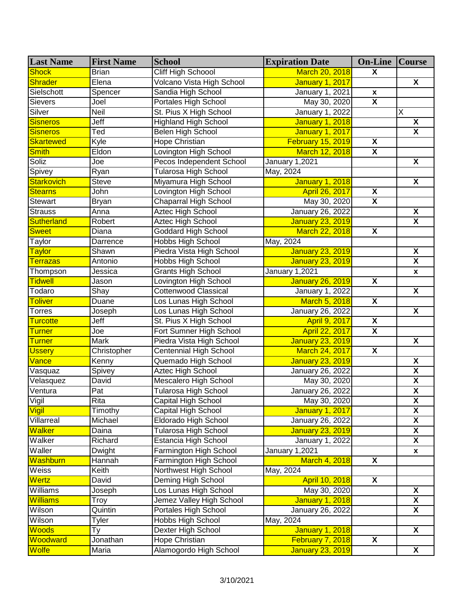| <b>Last Name</b>               | <b>First Name</b> | <b>School</b>               | <b>Expiration Date</b>  | <b>On-Line   Course</b> |                         |
|--------------------------------|-------------------|-----------------------------|-------------------------|-------------------------|-------------------------|
| <b>Shock</b>                   | <b>Brian</b>      | <b>Cliff High Schoool</b>   | March 20, 2018          | $\overline{\mathbf{X}}$ |                         |
| <b>Shrader</b>                 | Elena             | Volcano Vista High School   | <b>January 1, 2017</b>  |                         | X                       |
| Sielschott                     | Spencer           | Sandia High School          | <b>January 1, 2021</b>  | $\pmb{\mathsf{x}}$      |                         |
| Sievers                        | Joel              | Portales High School        | May 30, 2020            | $\overline{\mathbf{x}}$ |                         |
| Silver                         | Neil              | St. Pius X High School      | January 1, 2022         |                         | X                       |
| <b>Sisneros</b>                | Jeff              | <b>Highland High School</b> | <b>January 1, 2018</b>  |                         | X                       |
| <b>Sisneros</b>                | Ted               | Belen High School           | <b>January 1, 2017</b>  |                         | $\overline{\mathbf{x}}$ |
| <b>Skartewed</b>               | Kyle              | <b>Hope Christian</b>       | February 15, 2019       | $\overline{\mathbf{X}}$ |                         |
| <b>Smith</b>                   | Eldon             | Lovington High School       | March 12, 2018          | $\overline{\mathbf{X}}$ |                         |
| Soliz                          | Joe               | Pecos Independent School    | January 1,2021          |                         | $\overline{\mathbf{X}}$ |
| Spivey                         | Ryan              | <b>Tularosa High School</b> | May, 2024               |                         |                         |
| <b>Starkovich</b>              | Steve             | Miyamura High School        | <b>January 1, 2018</b>  |                         | $\overline{\mathbf{X}}$ |
| <b>Stearns</b>                 | John              | Lovington High School       | April 26, 2017          | $\overline{\mathbf{x}}$ |                         |
| Stewart                        | Bryan             | Chaparral High School       | May 30, 2020            | X                       |                         |
| <b>Strauss</b>                 | Anna              | <b>Aztec High School</b>    | January 26, 2022        |                         | $\overline{\mathbf{X}}$ |
| <b>Sutherland</b>              | Robert            | Aztec High School           | <b>January 23, 2019</b> |                         | $\overline{\mathbf{x}}$ |
| <b>Sweet</b>                   | Diana             | Goddard High School         | March 22, 2018          | $\overline{\mathbf{X}}$ |                         |
| Taylor                         | Darrence          | <b>Hobbs High School</b>    | May, 2024               |                         |                         |
| <b>Taylor</b>                  | Shawn             | Piedra Vista High School    | <b>January 23, 2019</b> |                         | X                       |
| <b>Terrazas</b>                | Antonio           | Hobbs High School           | <b>January 23, 2019</b> |                         | $\overline{\mathbf{X}}$ |
| Thompson                       | Jessica           | <b>Grants High School</b>   | January 1,2021          |                         | $\pmb{\mathsf{x}}$      |
| <b>Tidwell</b>                 | Jason             | Lovington High School       | <b>January 26, 2019</b> | X                       |                         |
| Todaro                         | Shay              | <b>Cottenwood Classical</b> | January 1, 2022         |                         | $\overline{\mathbf{X}}$ |
| <b>Toliver</b>                 | Duane             | Los Lunas High School       | March 5, 2018           | $\overline{\mathbf{X}}$ |                         |
| <b>Torres</b>                  | Joseph            | Los Lunas High School       | January 26, 2022        |                         | $\overline{\mathbf{X}}$ |
| <b>Turcotte</b>                | Jeff              | St. Pius X High School      | <b>April 9, 2017</b>    | $\overline{\mathbf{X}}$ |                         |
| <b>Turner</b>                  | Joe               | Fort Sumner High School     | April 22, 2017          | $\overline{\mathbf{X}}$ |                         |
| <b>Turner</b>                  | Mark              | Piedra Vista High School    | <b>January 23, 2019</b> |                         | $\overline{\mathbf{X}}$ |
| <b>Ussery</b>                  | Christopher       | Centennial High School      | March 24, 2017          | $\overline{\mathbf{X}}$ |                         |
| Vance                          | Kenny             | Quemado High School         | <b>January 23, 2019</b> |                         | $\overline{\mathbf{X}}$ |
| $\overline{\mathsf{V}}$ asquaz | Spivey            | Aztec High School           | January 26, 2022        |                         | $\overline{\mathbf{X}}$ |
| Velasquez                      | David             | Mescalero High School       | May 30, 2020            |                         | $\overline{\mathbf{X}}$ |
| Ventura                        | Pat               | <b>Tularosa High School</b> | January 26, 2022        |                         | $\overline{\mathbf{X}}$ |
| Vigil                          | Rita              | <b>Capital High School</b>  | May 30, 2020            |                         | $\overline{\mathbf{X}}$ |
| Vigil                          | Timothy           | Capital High School         | <b>January 1, 2017</b>  |                         | $\pmb{\mathsf{X}}$      |
| Villarreal                     | Michael           | Eldorado High School        | January 26, 2022        |                         | X                       |
| <b>Walker</b>                  | Daina             | Tularosa High School        | <b>January 23, 2019</b> |                         | X                       |
| Walker                         | Richard           | Estancia High School        | January 1, 2022         |                         | X                       |
| Waller                         | Dwight            | Farmington High School      | January 1,2021          |                         | $\pmb{\mathsf{x}}$      |
| Washburn                       | Hannah            | Farmington High School      | <b>March 4, 2018</b>    | $\overline{\mathbf{X}}$ |                         |
| Weiss                          | Keith             | Northwest High School       | May, 2024               |                         |                         |
| <b>Wertz</b>                   | David             | Deming High School          | April 10, 2018          | $\overline{\mathbf{X}}$ |                         |
| Williams                       | Joseph            | Los Lunas High School       | May 30, 2020            |                         | X                       |
| <b>Williams</b>                | Troy              | Jemez Valley High School    | <b>January 1, 2018</b>  |                         | $\overline{\mathbf{X}}$ |
| Wilson                         | Quintin           | Portales High School        | January 26, 2022        |                         | $\overline{\mathbf{X}}$ |
| Wilson                         | Tyler             | Hobbs High School           | May, 2024               |                         |                         |
| Woods                          | Тy                | Dexter High School          | <b>January 1, 2018</b>  |                         | X                       |
| Woodward                       | Jonathan          | Hope Christian              | February 7, 2018        | $\overline{\mathbf{x}}$ |                         |
| <b>Wolfe</b>                   | Maria             | Alamogordo High School      | <b>January 23, 2019</b> |                         | $\overline{\mathbf{X}}$ |